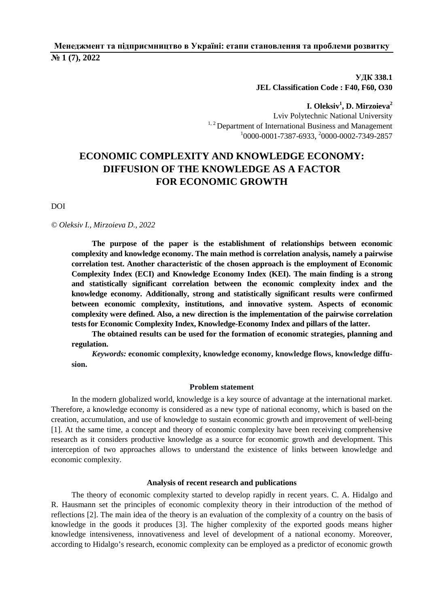## **Менеджмент та підприємництво в Україні: етапи становлення та проблеми розвитку № 1 (7), 2022**

**УДК 338.1 JEL Classification Code : F40, F60, O30** 

**I. Oleksiv<sup>1</sup> , D. Mirzoieva<sup>2</sup>** Lviv Polytechnic National University  $1, 2$  Department of International Business and Management 1 0000-0001-7387-6933, <sup>2</sup> 0000-0002-7349-2857

# **ECONOMIC COMPLEXITY AND KNOWLEDGE ECONOMY: DIFFUSION OF THE KNOWLEDGE AS A FACTOR FOR ECONOMIC GROWTH**

DOI

#### *© Oleksiv I., Mirzoieva D., 2022*

**The purpose of the paper is the establishment of relationships between economic complexity and knowledge economy. The main method is correlation analysis, namely a pairwise correlation test. Another characteristic of the chosen approach is the employment of Economic Complexity Index (ECI) and Knowledge Economy Index (KEI). The main finding is a strong and statistically significant correlation between the economic complexity index and the knowledge economy. Additionally, strong and statistically significant results were confirmed between economic complexity, institutions, and innovative system. Aspects of economic complexity were defined. Also, a new direction is the implementation of the pairwise correlation tests for Economic Complexity Index, Knowledge-Economy Index and pillars of the latter.** 

**The obtained results can be used for the formation of economic strategies, planning and regulation.** 

*Keywords:* **economic complexity, knowledge economy, knowledge flows, knowledge diffusion.** 

## **Problem statement**

In the modern globalized world, knowledge is a key source of advantage at the international market. Therefore, a knowledge economy is considered as a new type of national economy, which is based on the creation, accumulation, and use of knowledge to sustain economic growth and improvement of well-being [1]. At the same time, a concept and theory of economic complexity have been receiving comprehensive research as it considers productive knowledge as a source for economic growth and development. This interception of two approaches allows to understand the existence of links between knowledge and economic complexity.

#### **Analysis of recent research and publications**

The theory of economic complexity started to develop rapidly in recent years. C. A. Hidalgo and R. Hausmann set the principles of economic complexity theory in their introduction of the method of reflections [2]. The main idea of the theory is an evaluation of the complexity of a country on the basis of knowledge in the goods it produces [3]. The higher complexity of the exported goods means higher knowledge intensiveness, innovativeness and level of development of a national economy. Moreover, according to Hidalgo's research, economic complexity can be employed as a predictor of economic growth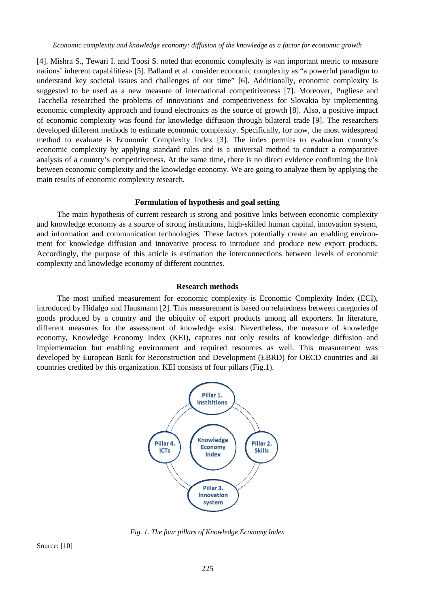*Economic complexity and knowledge economy: diffusion of the knowledge as a factor for economic growth* 

[4]. Mishra S., Tewari I. and Toosi S. noted that economic complexity is «an important metric to measure nations' inherent capabilities» [5]. Balland et al. consider economic complexity as "a powerful paradigm to understand key societal issues and challenges of our time" [6]. Additionally, economic complexity is suggested to be used as a new measure of international competitiveness [7]. Moreover, Pugliese and Tacchella researched the problems of innovations and competitiveness for Slovakia by implementing economic complexity approach and found electronics as the source of growth [8]. Also, a positive impact of economic complexity was found for knowledge diffusion through bilateral trade [9]. The researchers developed different methods to estimate economic complexity. Specifically, for now, the most widespread method to evaluate is Economic Complexity Index [3]. The index permits to evaluation country's economic complexity by applying standard rules and is a universal method to conduct a comparative analysis of a country's competitiveness. At the same time, there is no direct evidence confirming the link between economic complexity and the knowledge economy. We are going to analyze them by applying the main results of economic complexity research.

#### **Formulation of hypothesis and goal setting**

The main hypothesis of current research is strong and positive links between economic complexity and knowledge economy as a source of strong institutions, high-skilled human capital, innovation system, and information and communication technologies. These factors potentially create an enabling environment for knowledge diffusion and innovative process to introduce and produce new export products. Accordingly, the purpose of this article is estimation the interconnections between levels of economic complexity and knowledge economy of different countries.

## **Research methods**

The most unified measurement for economic complexity is Economic Complexity Index (ECI), introduced by Hidalgo and Hausmann [2]. This measurement is based on relatedness between categories of goods produced by a country and the ubiquity of export products among all exporters. In literature, different measures for the assessment of knowledge exist. Nevertheless, the measure of knowledge economy, Knowledge Economy Index (KEI), captures not only results of knowledge diffusion and implementation but enabling environment and required resources as well. This measurement was developed by European Bank for Reconstruction and Development (EBRD) for OECD countries and 38 countries credited by this organization. KEI consists of four pillars (Fig.1).



*Fig. 1. The four pillars of Knowledge Economy Index* 

Source: [10]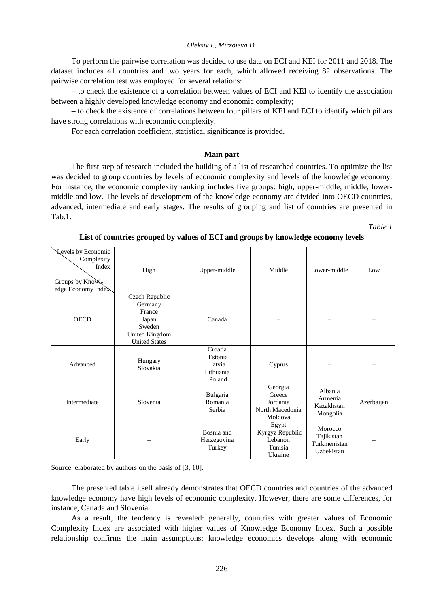To perform the pairwise correlation was decided to use data on ECI and KEI for 2011 and 2018. The dataset includes 41 countries and two years for each, which allowed receiving 82 observations. The pairwise correlation test was employed for several relations:

– to check the existence of a correlation between values of ECI and KEI to identify the association between a highly developed knowledge economy and economic complexity;

– to check the existence of correlations between four pillars of KEI and ECI to identify which pillars have strong correlations with economic complexity.

For each correlation coefficient, statistical significance is provided.

## **Main part**

The first step of research included the building of a list of researched countries. To optimize the list was decided to group countries by levels of economic complexity and levels of the knowledge economy. For instance, the economic complexity ranking includes five groups: high, upper-middle, middle, lowermiddle and low. The levels of development of the knowledge economy are divided into OECD countries, advanced, intermediate and early stages. The results of grouping and list of countries are presented in Tab.1.

*Table 1* 

| <b>Levels by Economic</b><br>Complexity<br>Index<br>Groups by Knowl-<br>edge Economy Index | High                                                                                                    | Upper-middle                                        | Middle                                                      | Lower-middle                                        | Low        |
|--------------------------------------------------------------------------------------------|---------------------------------------------------------------------------------------------------------|-----------------------------------------------------|-------------------------------------------------------------|-----------------------------------------------------|------------|
| <b>OECD</b>                                                                                | Czech Republic<br>Germany<br>France<br>Japan<br>Sweden<br><b>United Kingdom</b><br><b>United States</b> | Canada                                              |                                                             |                                                     |            |
| Advanced                                                                                   | Hungary<br>Slovakia                                                                                     | Croatia<br>Estonia<br>Latvia<br>Lithuania<br>Poland | Cyprus                                                      |                                                     |            |
| Intermediate                                                                               | Slovenia                                                                                                | Bulgaria<br>Romania<br>Serbia                       | Georgia<br>Greece<br>Jordania<br>North Macedonia<br>Moldova | Albania<br>Armenia<br>Kazakhstan<br>Mongolia        | Azerbaijan |
| Early                                                                                      |                                                                                                         | Bosnia and<br>Herzegovina<br>Turkey                 | Egypt<br>Kyrgyz Republic<br>Lebanon<br>Tunisia<br>Ukraine   | Morocco<br>Tajikistan<br>Turkmenistan<br>Uzbekistan |            |

Source: elaborated by authors on the basis of [3, 10].

The presented table itself already demonstrates that OECD countries and countries of the advanced knowledge economy have high levels of economic complexity. However, there are some differences, for instance, Canada and Slovenia.

As a result, the tendency is revealed: generally, countries with greater values of Economic Complexity Index are associated with higher values of Knowledge Economy Index. Such a possible relationship confirms the main assumptions: knowledge economics develops along with economic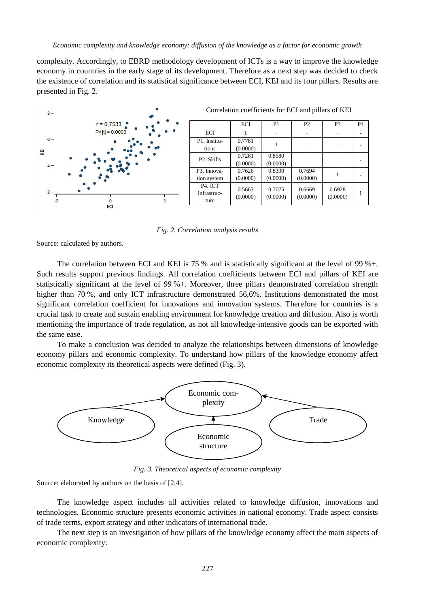*Economic complexity and knowledge economy: diffusion of the knowledge as a factor for economic growth* 

complexity. Accordingly, to EBRD methodology development of ICTs is a way to improve the knowledge economy in countries in the early stage of its development. Therefore as a next step was decided to check the existence of correlation and its statistical significance between ECI, KEI and its four pillars. Results are presented in Fig. 2.



*Fig. 2. Correlation analysis results* 

Source: calculated by authors.

The correlation between ECI and KEI is 75 % and is statistically significant at the level of 99 %+. Such results support previous findings. All correlation coefficients between ECI and pillars of KEI are statistically significant at the level of 99 %+. Moreover, three pillars demonstrated correlation strength higher than 70 %, and only ICT infrastructure demonstrated 56,6%. Institutions demonstrated the most significant correlation coefficient for innovations and innovation systems. Therefore for countries is a crucial task to create and sustain enabling environment for knowledge creation and diffusion. Also is worth mentioning the importance of trade regulation, as not all knowledge-intensive goods can be exported with the same ease.

To make a conclusion was decided to analyze the relationships between dimensions of knowledge economy pillars and economic complexity. To understand how pillars of the knowledge economy affect economic complexity its theoretical aspects were defined (Fig. 3).



*Fig. 3. Theoretical aspects of economic complexity* 

Source: elaborated by authors on the basis of [2,4].

The knowledge aspect includes all activities related to knowledge diffusion, innovations and technologies. Economic structure presents economic activities in national economy. Trade aspect consists of trade terms, export strategy and other indicators of international trade.

The next step is an investigation of how pillars of the knowledge economy affect the main aspects of economic complexity: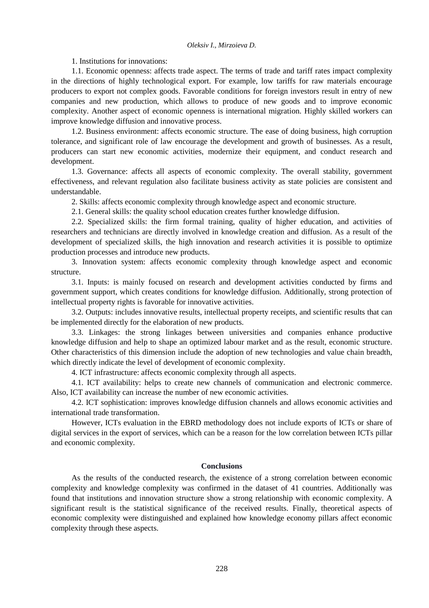1. Institutions for innovations:

1.1. Economic openness: affects trade aspect. The terms of trade and tariff rates impact complexity in the directions of highly technological export. For example, low tariffs for raw materials encourage producers to export not complex goods. Favorable conditions for foreign investors result in entry of new companies and new production, which allows to produce of new goods and to improve economic complexity. Another aspect of economic openness is international migration. Highly skilled workers can improve knowledge diffusion and innovative process.

1.2. Business environment: affects economic structure. The ease of doing business, high corruption tolerance, and significant role of law encourage the development and growth of businesses. As a result, producers can start new economic activities, modernize their equipment, and conduct research and development.

1.3. Governance: affects all aspects of economic complexity. The overall stability, government effectiveness, and relevant regulation also facilitate business activity as state policies are consistent and understandable.

2. Skills: affects economic complexity through knowledge aspect and economic structure.

2.1. General skills: the quality school education creates further knowledge diffusion.

2.2. Specialized skills: the firm formal training, quality of higher education, and activities of researchers and technicians are directly involved in knowledge creation and diffusion. As a result of the development of specialized skills, the high innovation and research activities it is possible to optimize production processes and introduce new products.

3. Innovation system: affects economic complexity through knowledge aspect and economic structure.

3.1. Inputs: is mainly focused on research and development activities conducted by firms and government support, which creates conditions for knowledge diffusion. Additionally, strong protection of intellectual property rights is favorable for innovative activities.

3.2. Outputs: includes innovative results, intellectual property receipts, and scientific results that can be implemented directly for the elaboration of new products.

3.3. Linkages: the strong linkages between universities and companies enhance productive knowledge diffusion and help to shape an optimized labour market and as the result, economic structure. Other characteristics of this dimension include the adoption of new technologies and value chain breadth, which directly indicate the level of development of economic complexity.

4. ICT infrastructure: affects economic complexity through all aspects.

4.1. ICT availability: helps to create new channels of communication and electronic commerce. Also, ICT availability can increase the number of new economic activities.

4.2. ICT sophistication: improves knowledge diffusion channels and allows economic activities and international trade transformation.

However, ICTs evaluation in the EBRD methodology does not include exports of ICTs or share of digital services in the export of services, which can be a reason for the low correlation between ICTs pillar and economic complexity.

## **Conclusions**

As the results of the conducted research, the existence of a strong correlation between economic complexity and knowledge complexity was confirmed in the dataset of 41 countries. Additionally was found that institutions and innovation structure show a strong relationship with economic complexity. A significant result is the statistical significance of the received results. Finally, theoretical aspects of economic complexity were distinguished and explained how knowledge economy pillars affect economic complexity through these aspects.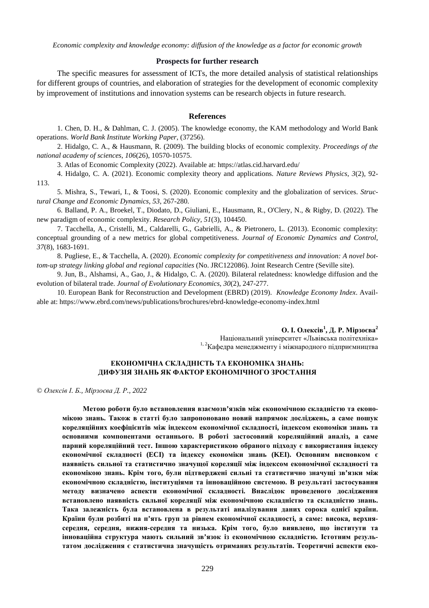*Economic complexity and knowledge economy: diffusion of the knowledge as a factor for economic growth* 

## **Prospects for further research**

The specific measures for assessment of ICTs, the more detailed analysis of statistical relationships for different groups of countries, and elaboration of strategies for the development of economic complexity by improvement of institutions and innovation systems can be research objects in future research.

## **References**

1. Chen, D. H., & Dahlman, C. J. (2005). The knowledge economy, the KAM methodology and World Bank operations. *World Bank Institute Working Paper*, (37256).

2. Hidalgo, C. A., & Hausmann, R. (2009). The building blocks of economic complexity. *Proceedings of the national academy of sciences*, *106*(26), 10570-10575.

3. Atlas of Economic Complexity (2022). Available at: https://atlas.cid.harvard.edu/

4. Hidalgo, C. A. (2021). Economic complexity theory and applications. *Nature Reviews Physics*, *3*(2), 92- 113.

5. Mishra, S., Tewari, I., & Toosi, S. (2020). Economic complexity and the globalization of services. *Structural Change and Economic Dynamics*, *53*, 267-280.

6. Balland, P. A., Broekel, T., Diodato, D., Giuliani, E., Hausmann, R., O'Clery, N., & Rigby, D. (2022). The new paradigm of economic complexity. *Research Policy*, *51*(3), 104450.

7. Tacchella, A., Cristelli, M., Caldarelli, G., Gabrielli, A., & Pietronero, L. (2013). Economic complexity: conceptual grounding of a new metrics for global competitiveness. *Journal of Economic Dynamics and Control*, *37*(8), 1683-1691.

8. Pugliese, E., & Tacchella, A. (2020). *Economic complexity for competitiveness and innovation: A novel bottom-up strategy linking global and regional capacities* (No. JRC122086). Joint Research Centre (Seville site).

9. Jun, B., Alshamsi, A., Gao, J., & Hidalgo, C. A. (2020). Bilateral relatedness: knowledge diffusion and the evolution of bilateral trade. *Journal of Evolutionary Economics*, *30*(2), 247-277.

10. European Bank for Reconstruction and Development (EBRD) (2019). *Knowledge Economy Index*. Available at: https://www.ebrd.com/news/publications/brochures/ebrd-knowledge-economy-index.html

> **О. І. Олексів<sup>1</sup> , Д. Р. Мірзоєва<sup>2</sup>** Національний університет «Львівська політехніка» 1, 2Кафедра менеджменту і міжнародного підприємництва

## **ЕКОНОМІЧНА СКЛАДНІСТЬ ТА ЕКОНОМІКА ЗНАНЬ: ДИФУЗІЯ ЗНАНЬ ЯК ФАКТОР ЕКОНОМІЧНОГО ЗРОСТАННЯ**

© *Олексів І. Б., Мірзоєва Д. Р., 2022* 

**Метою роботи було встановлення взаємозв'язків між економічною складністю та економікою знань. Також в статті було запропоновано новий напрямок досліджень, а саме пошук кореляційних коефіцієнтів між індексом економічної складності, індексом економіки знань та основними компонентами останнього. В роботі застосовний кореляційний аналіз, а саме парний кореляційний тест. Іншою характеристикою обраного підходу є використання індексу економічної складності (ECI) та індексу економіки знань (KEI). Основним висновком є наявність сильної та статистично значущої кореляції між індексом економічної складності та економікою знань. Крім того, були підтверджені сильні та статистично значущі зв'язки між економічною складністю, інституціями та інноваційною системою. В результаті застосування методу визначено аспекти економічної складності. Внаслідок проведеного дослідження встановлено наявність сильної кореляції між економічною складністю та складністю знань. Така залежність була встановлена в результаті аналізування даних сорока однієї країни.**  Країни були розбиті на п'ять груп за рівнем економічної складності, а саме: висока, верхня**середня, середня, нижня-середня та низька. Крім того, було виявлено, що інститути та інноваційна структура мають сильний зв'язок із економічною складністю. Істотним результатом дослідження є статистична значущість отриманих результатів. Теоретичні аспекти еко-**